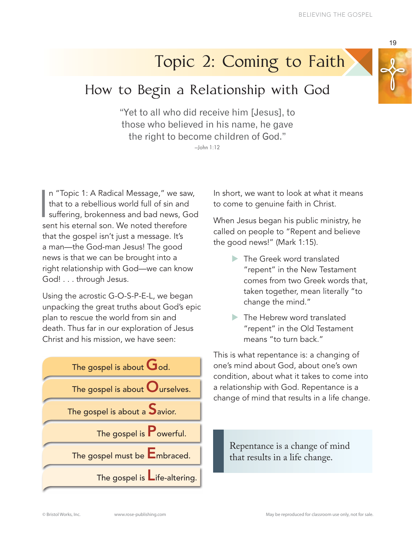## Topic 2: Coming to Faith

### How to Begin a Relationship with God

"Yet to all who did receive him [Jesus], to those who believed in his name, he gave the right to become children of God."

 $-lohn 1:12$ 

 $\overline{\mathbf{a}}$ n "Topic 1: A Radical Message," we saw, that to a rebellious world full of sin and suffering, brokenness and bad news, God sent his eternal son. We noted therefore that the gospel isn't just a message. It's a man—the God-man Jesus! The good news is that we can be brought into a right relationship with God—we can know God! . . . through Jesus.

Using the acrostic G-O-S-P-E-L, we began unpacking the great truths about God's epic plan to rescue the world from sin and death. Thus far in our exploration of Jesus Christ and his mission, we have seen:



In short, we want to look at what it means to come to genuine faith in Christ.

When Jesus began his public ministry, he called on people to "Repent and believe the good news!" (Mark 1:15).

- $\blacktriangleright$  The Greek word translated "repent" in the New Testament comes from two Greek words that, taken together, mean literally "to change the mind."
- $\blacktriangleright$  The Hebrew word translated "repent" in the Old Testament means "to turn back."

This is what repentance is: a changing of one's mind about God, about one's own condition, about what it takes to come into a relationship with God. Repentance is a change of mind that results in a life change.

Repentance is a change of mind that results in a life change.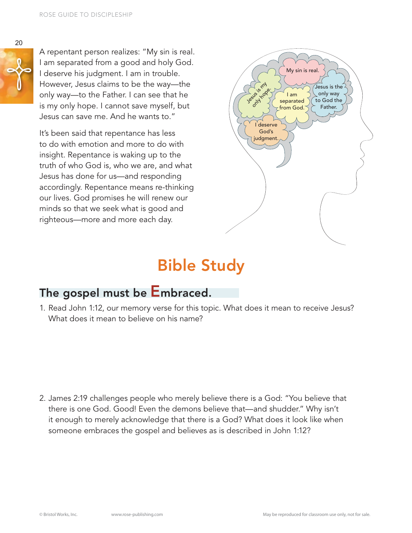

A repentant person realizes: "My sin is real. I am separated from a good and holy God. I deserve his judgment. I am in trouble. However, Jesus claims to be the way—the only way—to the Father. I can see that he is my only hope. I cannot save myself, but Jesus can save me. And he wants to."

It's been said that repentance has less to do with emotion and more to do with insight. Repentance is waking up to the truth of who God is, who we are, and what Jesus has done for us—and responding accordingly. Repentance means re-thinking our lives. God promises he will renew our minds so that we seek what is good and righteous—more and more each day.



# Bible Study

### The gospel must be Embraced.

1. Read John 1:12, our memory verse for this topic. What does it mean to receive Jesus? What does it mean to believe on his name?

2. James 2:19 challenges people who merely believe there is a God: "You believe that there is one God. Good! Even the demons believe that—and shudder." Why isn't it enough to merely acknowledge that there is a God? What does it look like when someone embraces the gospel and believes as is described in John 1:12?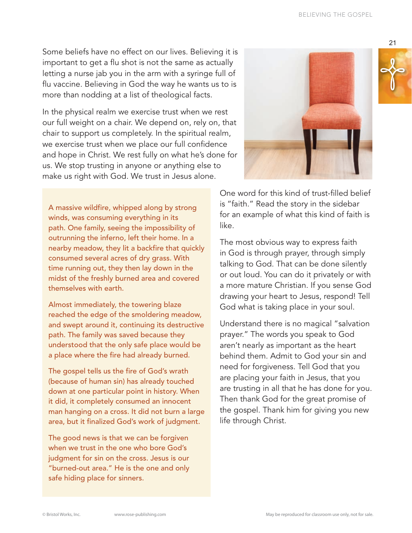Some beliefs have no effect on our lives. Believing it is important to get a flu shot is not the same as actually letting a nurse jab you in the arm with a syringe full of flu vaccine. Believing in God the way he wants us to is more than nodding at a list of theological facts.

In the physical realm we exercise trust when we rest our full weight on a chair. We depend on, rely on, that chair to support us completely. In the spiritual realm, we exercise trust when we place our full confidence and hope in Christ. We rest fully on what he's done for us. We stop trusting in anyone or anything else to make us right with God. We trust in Jesus alone.

A massive wildfire, whipped along by strong winds, was consuming everything in its path. One family, seeing the impossibility of outrunning the inferno, left their home. In a nearby meadow, they lit a backfire that quickly consumed several acres of dry grass. With time running out, they then lay down in the midst of the freshly burned area and covered themselves with earth.

Almost immediately, the towering blaze reached the edge of the smoldering meadow, and swept around it, continuing its destructive path. The family was saved because they understood that the only safe place would be a place where the fire had already burned.

The gospel tells us the fire of God's wrath (because of human sin) has already touched down at one particular point in history. When it did, it completely consumed an innocent man hanging on a cross. It did not burn a large area, but it finalized God's work of judgment.

The good news is that we can be forgiven when we trust in the one who bore God's judgment for sin on the cross. Jesus is our "burned-out area." He is the one and only safe hiding place for sinners.



One word for this kind of trust-filled belief is "faith." Read the story in the sidebar for an example of what this kind of faith is like.

The most obvious way to express faith in God is through prayer, through simply talking to God. That can be done silently or out loud. You can do it privately or with a more mature Christian. If you sense God drawing your heart to Jesus, respond! Tell God what is taking place in your soul.

Understand there is no magical "salvation prayer." The words you speak to God aren't nearly as important as the heart behind them. Admit to God your sin and need for forgiveness. Tell God that you are placing your faith in Jesus, that you are trusting in all that he has done for you. Then thank God for the great promise of the gospel. Thank him for giving you new life through Christ.

21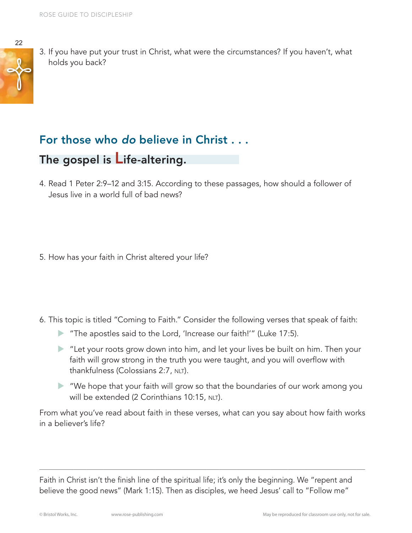

3. If you have put your trust in Christ, what were the circumstances? If you haven't, what holds you back?

## For those who *do* believe in Christ . . .

#### The gospel is Life-altering.

- 4. Read 1 Peter 2:9–12 and 3:15. According to these passages, how should a follower of Jesus live in a world full of bad news?
- 5. How has your faith in Christ altered your life?
- 6. This topic is titled "Coming to Faith." Consider the following verses that speak of faith:
	- $\blacktriangleright$  "The apostles said to the Lord, 'Increase our faith!'" (Luke 17:5).
	- $\blacktriangleright$  "Let your roots grow down into him, and let your lives be built on him. Then your faith will grow strong in the truth you were taught, and you will overflow with thankfulness (Colossians 2:7, NLT).
	- $\blacktriangleright$  "We hope that your faith will grow so that the boundaries of our work among you will be extended (2 Corinthians 10:15, NLT).

From what you've read about faith in these verses, what can you say about how faith works in a believer's life?

Faith in Christ isn't the finish line of the spiritual life; it's only the beginning. We "repent and believe the good news" (Mark 1:15). Then as disciples, we heed Jesus' call to "Follow me"

\_\_\_\_\_\_\_\_\_\_\_\_\_\_\_\_\_\_\_\_\_\_\_\_\_\_\_\_\_\_\_\_\_\_\_\_\_\_\_\_\_\_\_\_\_\_\_\_\_\_\_\_\_\_\_\_\_\_\_\_\_\_\_\_\_\_\_\_\_\_\_\_\_\_\_\_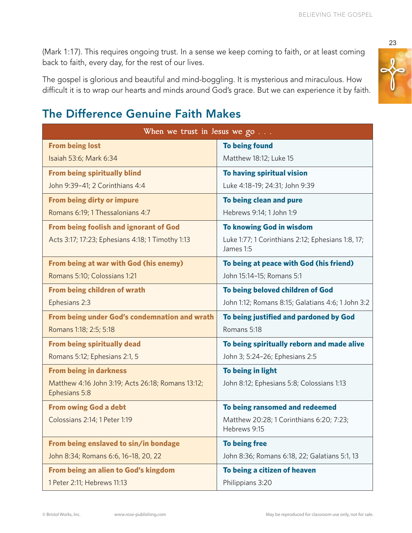(Mark 1:17). This requires ongoing trust. In a sense we keep coming to faith, or at least coming back to faith, every day, for the rest of our lives.

The gospel is glorious and beautiful and mind-boggling. It is mysterious and miraculous. How difficult it is to wrap our hearts and minds around God's grace. But we can experience it by faith.

### The Difference Genuine Faith Makes

| When we trust in Jesus we go $\ldots$                              |                                                                |
|--------------------------------------------------------------------|----------------------------------------------------------------|
| <b>From being lost</b>                                             | <b>To being found</b>                                          |
| Isaiah 53:6; Mark 6:34                                             | Matthew 18:12; Luke 15                                         |
| <b>From being spiritually blind</b>                                | To having spiritual vision                                     |
| John 9:39-41; 2 Corinthians 4:4                                    | Luke 4:18-19; 24:31; John 9:39                                 |
| <b>From being dirty or impure</b>                                  | To being clean and pure                                        |
| Romans 6:19; 1 Thessalonians 4:7                                   | Hebrews 9:14; 1 John 1:9                                       |
| From being foolish and ignorant of God                             | <b>To knowing God in wisdom</b>                                |
| Acts 3:17; 17:23; Ephesians 4:18; 1 Timothy 1:13                   | Luke 1:77; 1 Corinthians 2:12; Ephesians 1:8, 17;<br>James 1:5 |
| <b>From being at war with God (his enemy)</b>                      | To being at peace with God (his friend)                        |
| Romans 5:10; Colossians 1:21                                       | John 15:14-15; Romans 5:1                                      |
| <b>From being children of wrath</b>                                | To being beloved children of God                               |
| Ephesians 2:3                                                      | John 1:12; Romans 8:15; Galatians 4:6; 1 John 3:2              |
| From being under God's condemnation and wrath                      | To being justified and pardoned by God                         |
| Romans 1:18; 2:5; 5:18                                             | Romans 5:18                                                    |
| <b>From being spiritually dead</b>                                 | To being spiritually reborn and made alive                     |
| Romans 5:12; Ephesians 2:1, 5                                      | John 3; 5:24-26; Ephesians 2:5                                 |
| <b>From being in darkness</b>                                      | To being in light                                              |
| Matthew 4:16 John 3:19; Acts 26:18; Romans 13:12;<br>Ephesians 5:8 | John 8:12; Ephesians 5:8; Colossians 1:13                      |
| <b>From owing God a debt</b>                                       | To being ransomed and redeemed                                 |
| Colossians 2:14; 1 Peter 1:19                                      | Matthew 20:28; 1 Corinthians 6:20; 7:23;<br>Hebrews 9:15       |
| From being enslaved to sin/in bondage                              | <b>To being free</b>                                           |
| John 8:34; Romans 6:6, 16-18, 20, 22                               | John 8:36; Romans 6:18, 22; Galatians 5:1, 13                  |
| From being an alien to God's kingdom                               | To being a citizen of heaven                                   |
|                                                                    |                                                                |